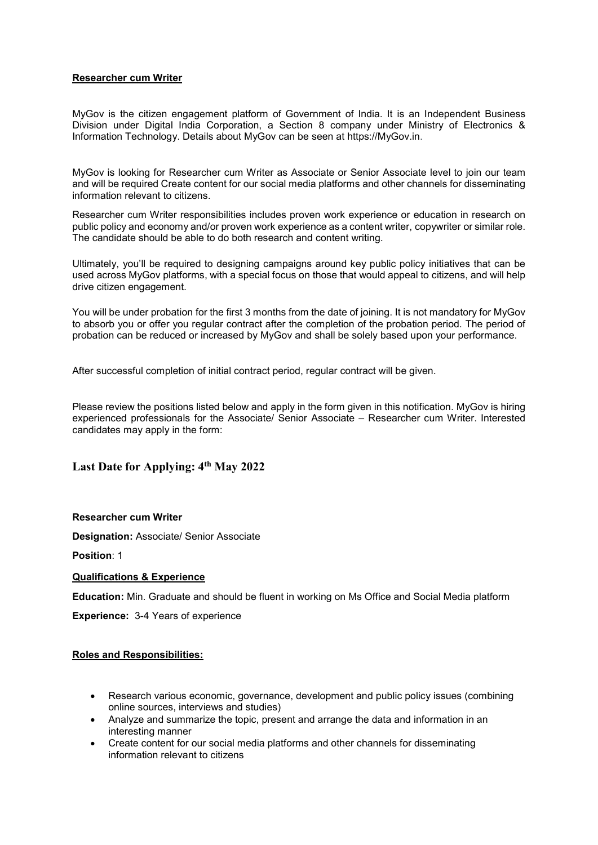## Researcher cum Writer

MyGov is the citizen engagement platform of Government of India. It is an Independent Business Division under Digital India Corporation, a Section 8 company under Ministry of Electronics & Information Technology. Details about MyGov can be seen at https://MyGov.in.

MyGov is looking for Researcher cum Writer as Associate or Senior Associate level to join our team and will be required Create content for our social media platforms and other channels for disseminating information relevant to citizens.

Researcher cum Writer responsibilities includes proven work experience or education in research on public policy and economy and/or proven work experience as a content writer, copywriter or similar role. The candidate should be able to do both research and content writing.

Ultimately, you'll be required to designing campaigns around key public policy initiatives that can be used across MyGov platforms, with a special focus on those that would appeal to citizens, and will help drive citizen engagement.

You will be under probation for the first 3 months from the date of joining. It is not mandatory for MyGov to absorb you or offer you regular contract after the completion of the probation period. The period of probation can be reduced or increased by MyGov and shall be solely based upon your performance.

After successful completion of initial contract period, regular contract will be given.

Please review the positions listed below and apply in the form given in this notification. MyGov is hiring experienced professionals for the Associate/ Senior Associate – Researcher cum Writer. Interested candidates may apply in the form:

# Last Date for Applying: 4<sup>th</sup> May 2022

### Researcher cum Writer

Designation: Associate/ Senior Associate

Position: 1

### Qualifications & Experience

Education: Min. Graduate and should be fluent in working on Ms Office and Social Media platform

Experience: 3-4 Years of experience

### Roles and Responsibilities:

- Research various economic, governance, development and public policy issues (combining online sources, interviews and studies)
- Analyze and summarize the topic, present and arrange the data and information in an interesting manner
- Create content for our social media platforms and other channels for disseminating information relevant to citizens